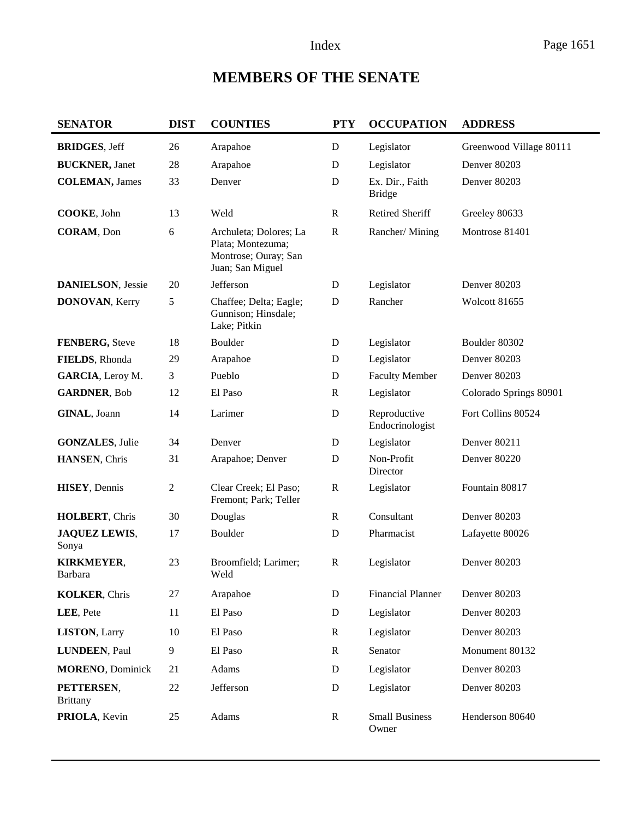# **MEMBERS OF THE SENATE**

| <b>SENATOR</b>                | <b>DIST</b> | <b>COUNTIES</b>                                                                         | <b>PTY</b>   | <b>OCCUPATION</b>                | <b>ADDRESS</b>          |
|-------------------------------|-------------|-----------------------------------------------------------------------------------------|--------------|----------------------------------|-------------------------|
| <b>BRIDGES, Jeff</b>          | 26          | Arapahoe                                                                                | $\mathbf D$  | Legislator                       | Greenwood Village 80111 |
| <b>BUCKNER</b> , Janet        | $28\,$      | Arapahoe                                                                                | D            | Legislator                       | Denver 80203            |
| <b>COLEMAN</b> , James        | 33          | Denver                                                                                  | $\mathbf D$  | Ex. Dir., Faith<br><b>Bridge</b> | Denver 80203            |
| COOKE, John                   | 13          | Weld                                                                                    | $\mathbb{R}$ | Retired Sheriff                  | Greeley 80633           |
| <b>CORAM</b> , Don            | 6           | Archuleta; Dolores; La<br>Plata; Montezuma;<br>Montrose; Ouray; San<br>Juan; San Miguel | $\mathbb{R}$ | Rancher/Mining                   | Montrose 81401          |
| <b>DANIELSON, Jessie</b>      | 20          | Jefferson                                                                               | D            | Legislator                       | Denver 80203            |
| <b>DONOVAN, Kerry</b>         | 5           | Chaffee; Delta; Eagle;<br>Gunnison; Hinsdale;<br>Lake; Pitkin                           | $\mathbf D$  | Rancher                          | Wolcott 81655           |
| FENBERG, Steve                | 18          | Boulder                                                                                 | D            | Legislator                       | Boulder 80302           |
| FIELDS, Rhonda                | 29          | Arapahoe                                                                                | D            | Legislator                       | Denver 80203            |
| GARCIA, Leroy M.              | 3           | Pueblo                                                                                  | D            | <b>Faculty Member</b>            | Denver 80203            |
| <b>GARDNER, Bob</b>           | 12          | El Paso                                                                                 | $\mathbb{R}$ | Legislator                       | Colorado Springs 80901  |
| GINAL, Joann                  | 14          | Larimer                                                                                 | $\mathbf D$  | Reproductive<br>Endocrinologist  | Fort Collins 80524      |
| <b>GONZALES, Julie</b>        | 34          | Denver                                                                                  | $\mathbf D$  | Legislator                       | Denver 80211            |
| HANSEN, Chris                 | 31          | Arapahoe; Denver                                                                        | D            | Non-Profit<br>Director           | Denver 80220            |
| HISEY, Dennis                 | $\sqrt{2}$  | Clear Creek; El Paso;<br>Fremont; Park; Teller                                          | $\mathbb{R}$ | Legislator                       | Fountain 80817          |
| HOLBERT, Chris                | 30          | Douglas                                                                                 | $\mathbf R$  | Consultant                       | Denver 80203            |
| <b>JAQUEZ LEWIS,</b><br>Sonya | 17          | Boulder                                                                                 | D            | Pharmacist                       | Lafayette 80026         |
| KIRKMEYER,<br><b>Barbara</b>  | 23          | Broomfield; Larimer;<br>Weld                                                            | $\mathbb{R}$ | Legislator                       | Denver 80203            |
| <b>KOLKER, Chris</b>          | 27          | Arapahoe                                                                                | ${\bf D}$    | <b>Financial Planner</b>         | Denver 80203            |
| LEE, Pete                     | 11          | El Paso                                                                                 | ${\bf D}$    | Legislator                       | Denver 80203            |
| <b>LISTON, Larry</b>          | 10          | El Paso                                                                                 | $\mathbf R$  | Legislator                       | Denver 80203            |
| LUNDEEN, Paul                 | 9           | El Paso                                                                                 | $\mathbf R$  | Senator                          | Monument 80132          |
| <b>MORENO, Dominick</b>       | 21          | Adams                                                                                   | ${\bf D}$    | Legislator                       | Denver 80203            |
| PETTERSEN,<br><b>Brittany</b> | 22          | Jefferson                                                                               | ${\bf D}$    | Legislator                       | Denver 80203            |
| PRIOLA, Kevin                 | 25          | Adams                                                                                   | $\mathbf R$  | <b>Small Business</b><br>Owner   | Henderson 80640         |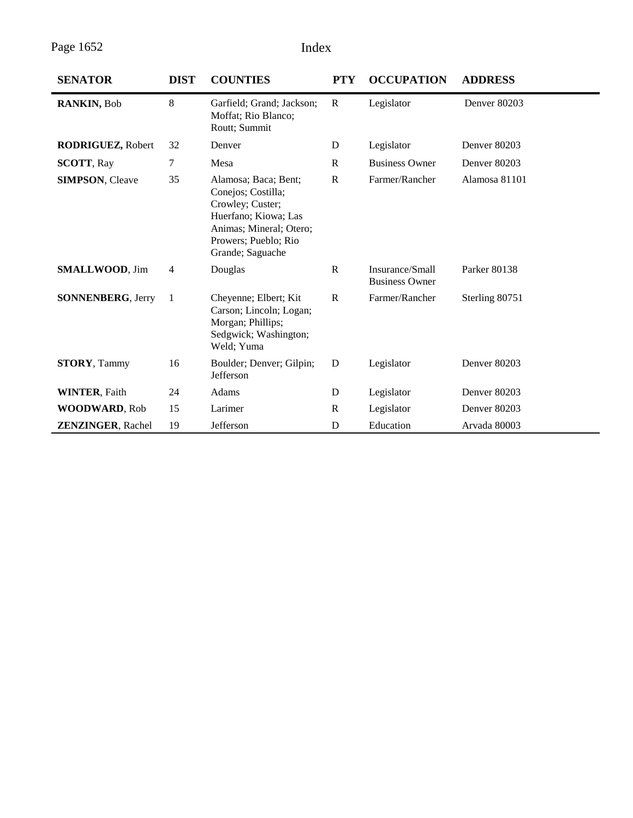Page 1652 Index

| <b>SENATOR</b>           | <b>DIST</b>    | <b>COUNTIES</b>                                                                                                                                               | <b>PTY</b>   | <b>OCCUPATION</b>                        | <b>ADDRESS</b> |
|--------------------------|----------------|---------------------------------------------------------------------------------------------------------------------------------------------------------------|--------------|------------------------------------------|----------------|
| RANKIN, Bob              | 8              | Garfield; Grand; Jackson;<br>Moffat; Rio Blanco;<br>Routt; Summit                                                                                             | R            | Legislator                               | Denver 80203   |
| <b>RODRIGUEZ, Robert</b> | 32             | Denver                                                                                                                                                        | D            | Legislator                               | Denver 80203   |
| <b>SCOTT, Ray</b>        | 7              | Mesa                                                                                                                                                          | R            | <b>Business Owner</b>                    | Denver 80203   |
| <b>SIMPSON, Cleave</b>   | 35             | Alamosa; Baca; Bent;<br>Conejos; Costilla;<br>Crowley; Custer;<br>Huerfano; Kiowa; Las<br>Animas; Mineral; Otero;<br>Prowers; Pueblo; Rio<br>Grande; Saguache | $\mathbb{R}$ | Farmer/Rancher                           | Alamosa 81101  |
| <b>SMALLWOOD, Jim</b>    | $\overline{4}$ | Douglas                                                                                                                                                       | $\mathbb{R}$ | Insurance/Small<br><b>Business Owner</b> | Parker 80138   |
| <b>SONNENBERG, Jerry</b> | $\mathbf{1}$   | Cheyenne; Elbert; Kit<br>Carson; Lincoln; Logan;<br>Morgan; Phillips;<br>Sedgwick; Washington;<br>Weld; Yuma                                                  | $\mathbf R$  | Farmer/Rancher                           | Sterling 80751 |
| <b>STORY, Tammy</b>      | 16             | Boulder; Denver; Gilpin;<br>Jefferson                                                                                                                         | D            | Legislator                               | Denver 80203   |
| <b>WINTER, Faith</b>     | 24             | Adams                                                                                                                                                         | D            | Legislator                               | Denver 80203   |
| <b>WOODWARD, Rob</b>     | 15             | Larimer                                                                                                                                                       | $\mathbf R$  | Legislator                               | Denver 80203   |
| <b>ZENZINGER, Rachel</b> | 19             | Jefferson                                                                                                                                                     | D            | Education                                | Arvada 80003   |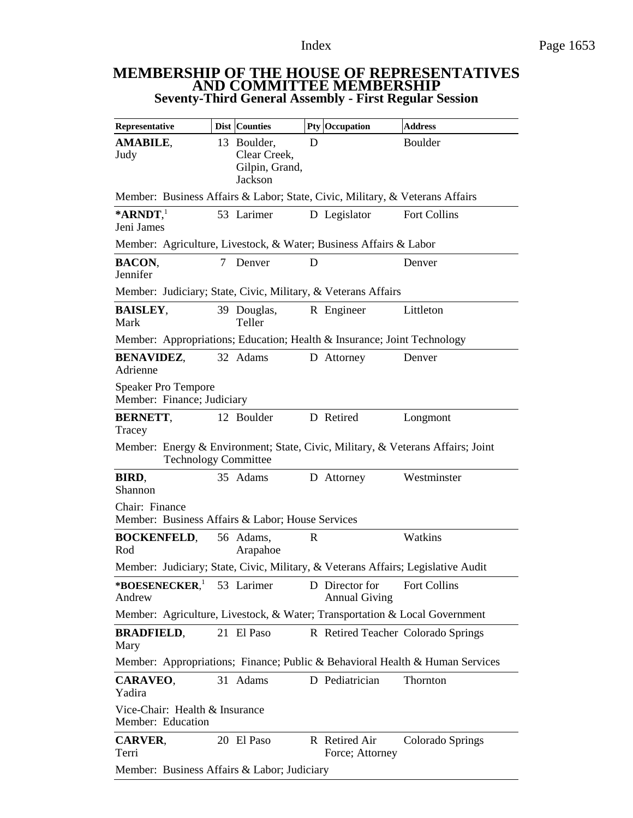#### **MEMBERSHIP OF THE HOUSE OF REPRESENTATIVES AND COMMITTEE MEMBERSHIP Seventy-Third General Assembly - First Regular Session**

| Representative                                                                                                 |   | <b>Dist Counties</b>                                     |   | Pty Occupation                         | <b>Address</b>                                                               |
|----------------------------------------------------------------------------------------------------------------|---|----------------------------------------------------------|---|----------------------------------------|------------------------------------------------------------------------------|
| <b>AMABILE,</b><br>Judy                                                                                        |   | 13 Boulder,<br>Clear Creek,<br>Gilpin, Grand,<br>Jackson | D |                                        | Boulder                                                                      |
| Member: Business Affairs & Labor; State, Civic, Military, & Veterans Affairs                                   |   |                                                          |   |                                        |                                                                              |
| $*$ ARNDT,<br>Jeni James                                                                                       |   | 53 Larimer                                               |   | D Legislator                           | <b>Fort Collins</b>                                                          |
| Member: Agriculture, Livestock, & Water; Business Affairs & Labor                                              |   |                                                          |   |                                        |                                                                              |
| <b>BACON.</b><br>Jennifer                                                                                      | 7 | Denver                                                   | D |                                        | Denver                                                                       |
| Member: Judiciary; State, Civic, Military, & Veterans Affairs                                                  |   |                                                          |   |                                        |                                                                              |
| <b>BAISLEY,</b><br>Mark                                                                                        |   | 39 Douglas,<br>Teller                                    |   | R Engineer                             | Littleton                                                                    |
| Member: Appropriations; Education; Health & Insurance; Joint Technology                                        |   |                                                          |   |                                        |                                                                              |
| <b>BENAVIDEZ,</b><br>Adrienne                                                                                  |   | 32 Adams                                                 |   | D Attorney                             | Denver                                                                       |
| <b>Speaker Pro Tempore</b><br>Member: Finance; Judiciary                                                       |   |                                                          |   |                                        |                                                                              |
| <b>BERNETT,</b><br>Tracey                                                                                      |   | 12 Boulder                                               |   | D Retired                              | Longmont                                                                     |
| Member: Energy & Environment; State, Civic, Military, & Veterans Affairs; Joint<br><b>Technology Committee</b> |   |                                                          |   |                                        |                                                                              |
| BIRD,<br>Shannon                                                                                               |   | 35 Adams                                                 |   | D Attorney                             | Westminster                                                                  |
| Chair: Finance<br>Member: Business Affairs & Labor; House Services                                             |   |                                                          |   |                                        |                                                                              |
| <b>BOCKENFELD,</b><br>Rod                                                                                      |   | 56 Adams,<br>Arapahoe                                    | R |                                        | Watkins                                                                      |
| Member: Judiciary; State, Civic, Military, & Veterans Affairs; Legislative Audit                               |   |                                                          |   |                                        |                                                                              |
| *BOESENECKER, 53 Larimer<br>Andrew                                                                             |   |                                                          |   | D Director for<br><b>Annual Giving</b> | <b>Fort Collins</b>                                                          |
| Member: Agriculture, Livestock, & Water; Transportation & Local Government                                     |   |                                                          |   |                                        |                                                                              |
| <b>BRADFIELD,</b><br>Mary                                                                                      |   | 21 El Paso                                               |   |                                        | R Retired Teacher Colorado Springs                                           |
|                                                                                                                |   |                                                          |   |                                        | Member: Appropriations; Finance; Public & Behavioral Health & Human Services |
| CARAVEO,<br>Yadira                                                                                             |   | 31 Adams                                                 |   | D Pediatrician                         | Thornton                                                                     |
| Vice-Chair: Health & Insurance<br>Member: Education                                                            |   |                                                          |   |                                        |                                                                              |
| <b>CARVER,</b><br>Terri                                                                                        |   | 20 El Paso                                               |   | R Retired Air<br>Force; Attorney       | Colorado Springs                                                             |
| Member: Business Affairs & Labor; Judiciary                                                                    |   |                                                          |   |                                        |                                                                              |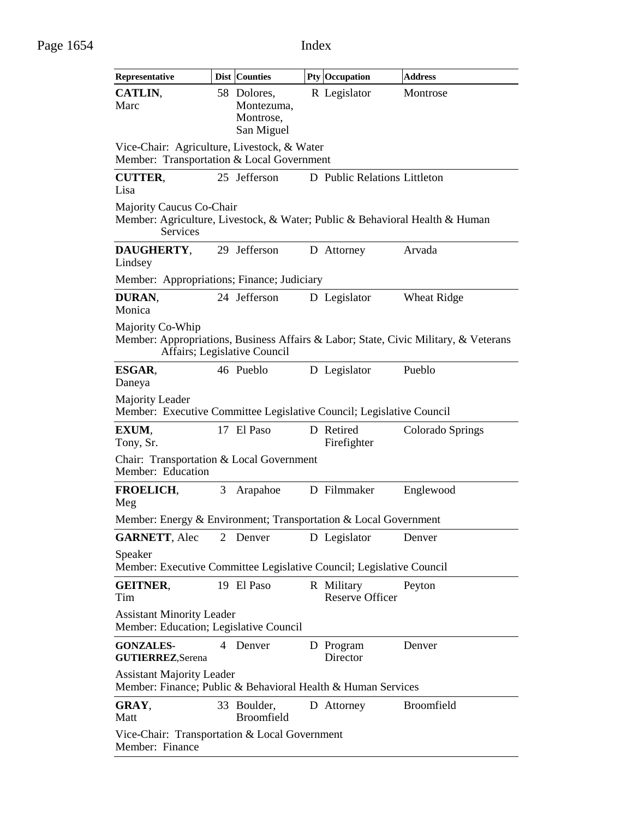| Representative                                                                                                                          |   | Dist Counties                                        |  | Pty Occupation                       | <b>Address</b>     |  |  |
|-----------------------------------------------------------------------------------------------------------------------------------------|---|------------------------------------------------------|--|--------------------------------------|--------------------|--|--|
| CATLIN,<br>Marc                                                                                                                         |   | 58 Dolores,<br>Montezuma,<br>Montrose,<br>San Miguel |  | R Legislator                         | Montrose           |  |  |
| Vice-Chair: Agriculture, Livestock, & Water<br>Member: Transportation & Local Government                                                |   |                                                      |  |                                      |                    |  |  |
| <b>CUTTER,</b><br>Lisa                                                                                                                  |   | 25 Jefferson                                         |  | D Public Relations Littleton         |                    |  |  |
| Majority Caucus Co-Chair<br>Member: Agriculture, Livestock, & Water; Public & Behavioral Health & Human<br>Services                     |   |                                                      |  |                                      |                    |  |  |
| DAUGHERTY,<br>Lindsey                                                                                                                   |   | 29 Jefferson                                         |  | D Attorney                           | Arvada             |  |  |
| Member: Appropriations; Finance; Judiciary                                                                                              |   |                                                      |  |                                      |                    |  |  |
| DURAN,<br>Monica                                                                                                                        |   | 24 Jefferson                                         |  | D Legislator                         | <b>Wheat Ridge</b> |  |  |
| Majority Co-Whip<br>Member: Appropriations, Business Affairs & Labor; State, Civic Military, & Veterans<br>Affairs; Legislative Council |   |                                                      |  |                                      |                    |  |  |
| ESGAR,<br>Daneya                                                                                                                        |   | 46 Pueblo                                            |  | D Legislator                         | Pueblo             |  |  |
| Majority Leader<br>Member: Executive Committee Legislative Council; Legislative Council                                                 |   |                                                      |  |                                      |                    |  |  |
| EXUM,<br>Tony, Sr.                                                                                                                      |   | 17 El Paso                                           |  | D Retired<br>Firefighter             | Colorado Springs   |  |  |
| Chair: Transportation & Local Government<br>Member: Education                                                                           |   |                                                      |  |                                      |                    |  |  |
| <b>FROELICH,</b><br>Meg                                                                                                                 | 3 | Arapahoe                                             |  | D Filmmaker                          | Englewood          |  |  |
| Member: Energy & Environment; Transportation & Local Government                                                                         |   |                                                      |  |                                      |                    |  |  |
| <b>GARNETT, Alec</b>                                                                                                                    | 2 | Denver                                               |  | D Legislator                         | Denver             |  |  |
| Speaker<br>Member: Executive Committee Legislative Council; Legislative Council                                                         |   |                                                      |  |                                      |                    |  |  |
| <b>GEITNER,</b><br>Tim                                                                                                                  |   | 19 El Paso                                           |  | R Military<br><b>Reserve Officer</b> | Peyton             |  |  |
| <b>Assistant Minority Leader</b><br>Member: Education; Legislative Council                                                              |   |                                                      |  |                                      |                    |  |  |
| <b>GONZALES-</b><br><b>GUTIERREZ, Serena</b>                                                                                            | 4 | Denver                                               |  | D Program<br>Director                | Denver             |  |  |
| <b>Assistant Majority Leader</b><br>Member: Finance; Public & Behavioral Health & Human Services                                        |   |                                                      |  |                                      |                    |  |  |
| GRAY,<br>Matt                                                                                                                           |   | 33 Boulder,<br><b>Broomfield</b>                     |  | D Attorney                           | <b>Broomfield</b>  |  |  |
| Vice-Chair: Transportation & Local Government<br>Member: Finance                                                                        |   |                                                      |  |                                      |                    |  |  |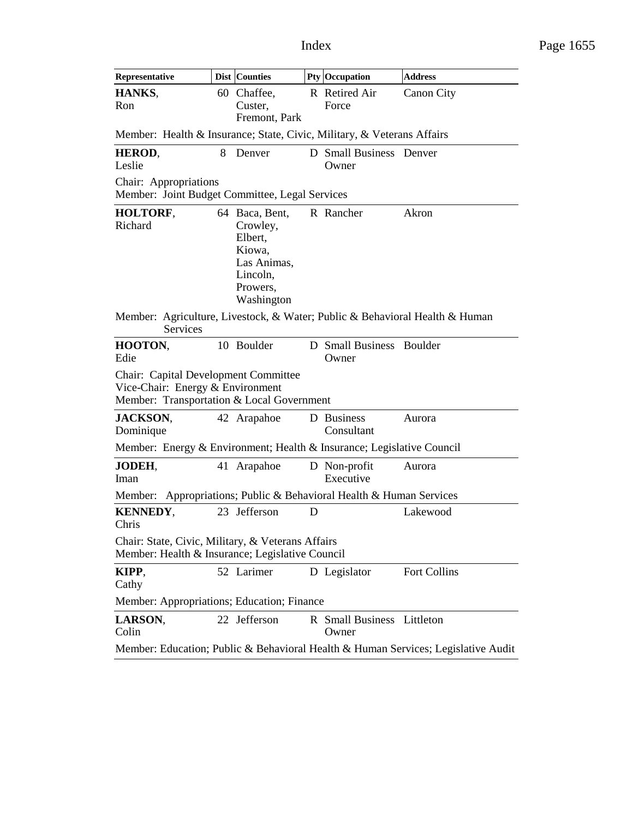| Representative                                                                                                        |   | <b>Dist Counties</b>                                                                                 |   | <b>Pty Occupation</b>                                       | <b>Address</b>                                                                    |  |  |
|-----------------------------------------------------------------------------------------------------------------------|---|------------------------------------------------------------------------------------------------------|---|-------------------------------------------------------------|-----------------------------------------------------------------------------------|--|--|
| HANKS,<br>Ron                                                                                                         |   | 60 Chaffee,<br>Custer,<br>Fremont, Park                                                              |   | R Retired Air<br>Force                                      | <b>Canon City</b>                                                                 |  |  |
| Member: Health & Insurance; State, Civic, Military, & Veterans Affairs                                                |   |                                                                                                      |   |                                                             |                                                                                   |  |  |
| HEROD,<br>Leslie                                                                                                      | 8 | Denver                                                                                               |   | D Small Business Denver<br>Owner                            |                                                                                   |  |  |
| Chair: Appropriations<br>Member: Joint Budget Committee, Legal Services                                               |   |                                                                                                      |   |                                                             |                                                                                   |  |  |
| HOLTORF,<br>Richard                                                                                                   |   | 64 Baca, Bent,<br>Crowley,<br>Elbert,<br>Kiowa,<br>Las Animas,<br>Lincoln,<br>Prowers.<br>Washington |   | R Rancher                                                   | Akron                                                                             |  |  |
| Member: Agriculture, Livestock, & Water; Public & Behavioral Health & Human<br>Services                               |   |                                                                                                      |   |                                                             |                                                                                   |  |  |
| HOOTON,<br>Edie                                                                                                       |   | 10 Boulder                                                                                           |   | D Small Business Boulder<br>Owner                           |                                                                                   |  |  |
| Chair: Capital Development Committee<br>Vice-Chair: Energy & Environment<br>Member: Transportation & Local Government |   |                                                                                                      |   |                                                             |                                                                                   |  |  |
| <b>JACKSON,</b><br>Dominique                                                                                          |   | 42 Arapahoe                                                                                          |   | D Business<br>Consultant                                    | Aurora                                                                            |  |  |
| Member: Energy & Environment; Health & Insurance; Legislative Council                                                 |   |                                                                                                      |   |                                                             |                                                                                   |  |  |
| <b>JODEH,</b><br>Iman                                                                                                 |   | 41 Arapahoe                                                                                          |   | D Non-profit<br>Executive                                   | Aurora                                                                            |  |  |
| Member:                                                                                                               |   |                                                                                                      |   | Appropriations; Public & Behavioral Health & Human Services |                                                                                   |  |  |
| <b>KENNEDY,</b><br>Chris                                                                                              |   | 23 Jefferson                                                                                         | D |                                                             | Lakewood                                                                          |  |  |
| Chair: State, Civic, Military, & Veterans Affairs<br>Member: Health & Insurance; Legislative Council                  |   |                                                                                                      |   |                                                             |                                                                                   |  |  |
| KIPP,<br>Cathy                                                                                                        |   | 52 Larimer                                                                                           |   | D Legislator                                                | Fort Collins                                                                      |  |  |
| Member: Appropriations; Education; Finance                                                                            |   |                                                                                                      |   |                                                             |                                                                                   |  |  |
| LARSON,<br>Colin                                                                                                      |   | 22 Jefferson                                                                                         |   | R Small Business Littleton<br>Owner                         |                                                                                   |  |  |
|                                                                                                                       |   |                                                                                                      |   |                                                             | Member: Education; Public & Behavioral Health & Human Services; Legislative Audit |  |  |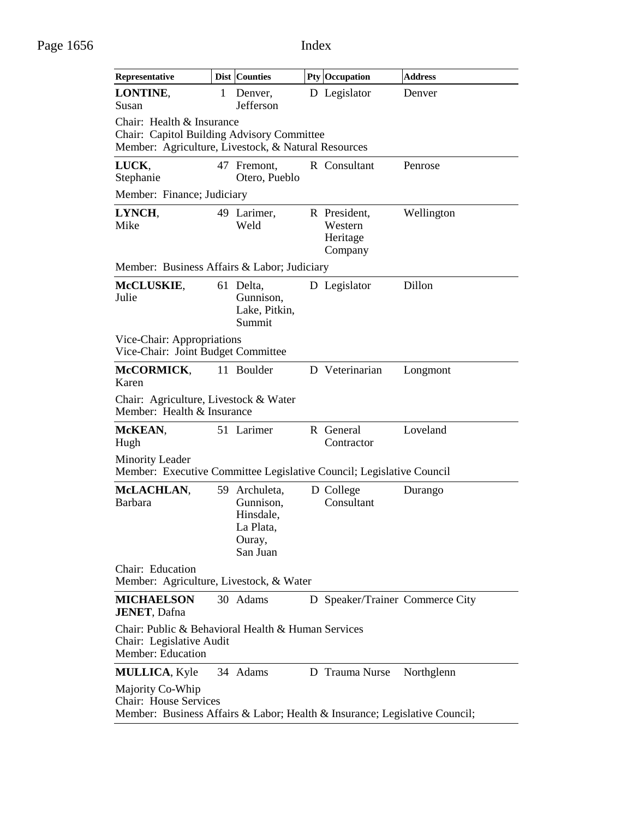| Representative                                                                                                                 |   | Dist Counties                                                              |  | <b>Pty Occupation</b>                          | <b>Address</b> |  |  |  |
|--------------------------------------------------------------------------------------------------------------------------------|---|----------------------------------------------------------------------------|--|------------------------------------------------|----------------|--|--|--|
| LONTINE,<br>Susan                                                                                                              | 1 | Denver,<br>Jefferson                                                       |  | D Legislator                                   | Denver         |  |  |  |
| Chair: Health & Insurance<br>Chair: Capitol Building Advisory Committee<br>Member: Agriculture, Livestock, & Natural Resources |   |                                                                            |  |                                                |                |  |  |  |
| LUCK,<br>Stephanie                                                                                                             |   | 47 Fremont,<br>Otero, Pueblo                                               |  | R Consultant                                   | Penrose        |  |  |  |
| Member: Finance; Judiciary                                                                                                     |   |                                                                            |  |                                                |                |  |  |  |
| LYNCH,<br>Mike                                                                                                                 |   | 49 Larimer,<br>Weld                                                        |  | R President,<br>Western<br>Heritage<br>Company | Wellington     |  |  |  |
| Member: Business Affairs & Labor; Judiciary                                                                                    |   |                                                                            |  |                                                |                |  |  |  |
| McCLUSKIE,<br>Julie                                                                                                            |   | 61 Delta,<br>Gunnison,<br>Lake, Pitkin,<br>Summit                          |  | D Legislator                                   | Dillon         |  |  |  |
| Vice-Chair: Appropriations<br>Vice-Chair: Joint Budget Committee                                                               |   |                                                                            |  |                                                |                |  |  |  |
| McCORMICK,<br>Karen                                                                                                            |   | 11 Boulder                                                                 |  | D Veterinarian                                 | Longmont       |  |  |  |
| Chair: Agriculture, Livestock & Water<br>Member: Health & Insurance                                                            |   |                                                                            |  |                                                |                |  |  |  |
| McKEAN,<br>Hugh                                                                                                                |   | 51 Larimer                                                                 |  | R General<br>Contractor                        | Loveland       |  |  |  |
| <b>Minority Leader</b><br>Member: Executive Committee Legislative Council; Legislative Council                                 |   |                                                                            |  |                                                |                |  |  |  |
| McLACHLAN,<br><b>Barbara</b>                                                                                                   |   | 59 Archuleta,<br>Gunnison,<br>Hinsdale,<br>La Plata,<br>Ouray,<br>San Juan |  | D College<br>Consultant                        | Durango        |  |  |  |
| Chair: Education<br>Member: Agriculture, Livestock, & Water                                                                    |   |                                                                            |  |                                                |                |  |  |  |
| <b>MICHAELSON</b><br><b>JENET, Dafna</b>                                                                                       |   | 30 Adams                                                                   |  | D Speaker/Trainer Commerce City                |                |  |  |  |
| Chair: Public & Behavioral Health & Human Services<br>Chair: Legislative Audit<br><b>Member: Education</b>                     |   |                                                                            |  |                                                |                |  |  |  |
| <b>MULLICA, Kyle</b>                                                                                                           |   | 34 Adams                                                                   |  | D Trauma Nurse                                 | Northglenn     |  |  |  |
| Majority Co-Whip<br><b>Chair:</b> House Services<br>Member: Business Affairs & Labor; Health & Insurance; Legislative Council; |   |                                                                            |  |                                                |                |  |  |  |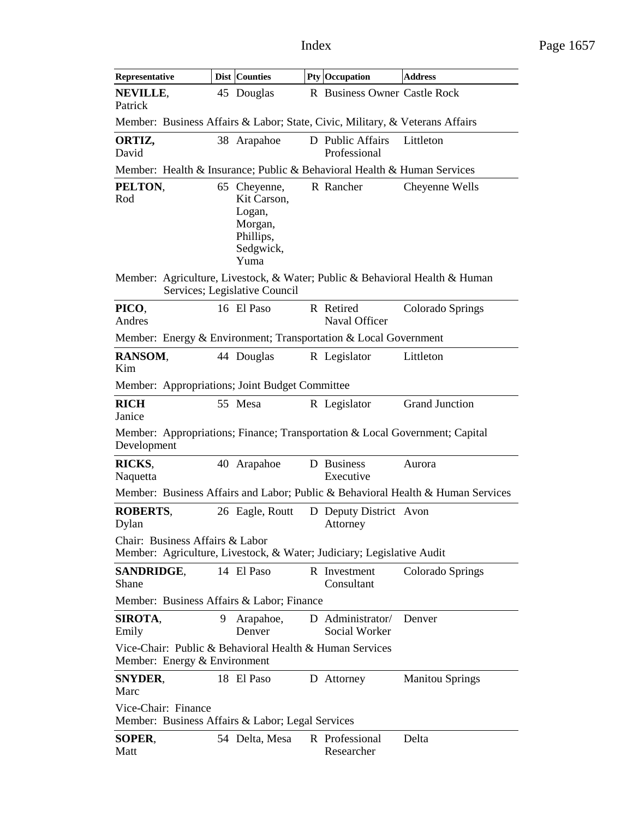| Representative                                                                                           |   | <b>Dist Counties</b>                                                               | Pty Occupation                     | <b>Address</b>                                                                  |
|----------------------------------------------------------------------------------------------------------|---|------------------------------------------------------------------------------------|------------------------------------|---------------------------------------------------------------------------------|
| NEVILLE,<br>Patrick                                                                                      |   | 45 Douglas                                                                         | R Business Owner Castle Rock       |                                                                                 |
| Member: Business Affairs & Labor; State, Civic, Military, & Veterans Affairs                             |   |                                                                                    |                                    |                                                                                 |
| ORTIZ,<br>David                                                                                          |   | 38 Arapahoe                                                                        | D Public Affairs<br>Professional   | Littleton                                                                       |
| Member: Health & Insurance; Public & Behavioral Health & Human Services                                  |   |                                                                                    |                                    |                                                                                 |
| PELTON,<br>Rod                                                                                           |   | 65 Cheyenne,<br>Kit Carson,<br>Logan,<br>Morgan,<br>Phillips,<br>Sedgwick,<br>Yuma | R Rancher                          | Cheyenne Wells                                                                  |
| Member: Agriculture, Livestock, & Water; Public & Behavioral Health & Human                              |   | Services; Legislative Council                                                      |                                    |                                                                                 |
| PICO.<br>Andres                                                                                          |   | 16 El Paso                                                                         | R Retired<br>Naval Officer         | Colorado Springs                                                                |
| Member: Energy & Environment; Transportation & Local Government                                          |   |                                                                                    |                                    |                                                                                 |
| RANSOM,<br>Kim                                                                                           |   | 44 Douglas                                                                         | R Legislator                       | Littleton                                                                       |
| Member: Appropriations; Joint Budget Committee                                                           |   |                                                                                    |                                    |                                                                                 |
| <b>RICH</b><br>Janice                                                                                    |   | 55 Mesa                                                                            | R Legislator                       | <b>Grand Junction</b>                                                           |
| Member: Appropriations; Finance; Transportation & Local Government; Capital<br>Development               |   |                                                                                    |                                    |                                                                                 |
| RICKS,<br>Naquetta                                                                                       |   | 40 Arapahoe                                                                        | D Business<br>Executive            | Aurora                                                                          |
|                                                                                                          |   |                                                                                    |                                    | Member: Business Affairs and Labor; Public & Behavioral Health & Human Services |
| <b>ROBERTS,</b><br>Dylan                                                                                 |   | 26 Eagle, Routt                                                                    | D Deputy District Avon<br>Attorney |                                                                                 |
| Chair: Business Affairs & Labor<br>Member: Agriculture, Livestock, & Water; Judiciary; Legislative Audit |   |                                                                                    |                                    |                                                                                 |
| SANDRIDGE,<br>Shane                                                                                      |   | 14 El Paso                                                                         | R Investment<br>Consultant         | Colorado Springs                                                                |
| Member: Business Affairs & Labor; Finance                                                                |   |                                                                                    |                                    |                                                                                 |
| SIROTA,<br>Emily                                                                                         | 9 | Arapahoe,<br>Denver                                                                | D Administrator/<br>Social Worker  | Denver                                                                          |
| Vice-Chair: Public & Behavioral Health & Human Services<br>Member: Energy & Environment                  |   |                                                                                    |                                    |                                                                                 |
| <b>SNYDER,</b><br>Marc                                                                                   |   | 18 El Paso                                                                         | D Attorney                         | <b>Manitou Springs</b>                                                          |
| Vice-Chair: Finance<br>Member: Business Affairs & Labor; Legal Services                                  |   |                                                                                    |                                    |                                                                                 |
| SOPER,<br>Matt                                                                                           |   | 54 Delta, Mesa                                                                     | R Professional<br>Researcher       | Delta                                                                           |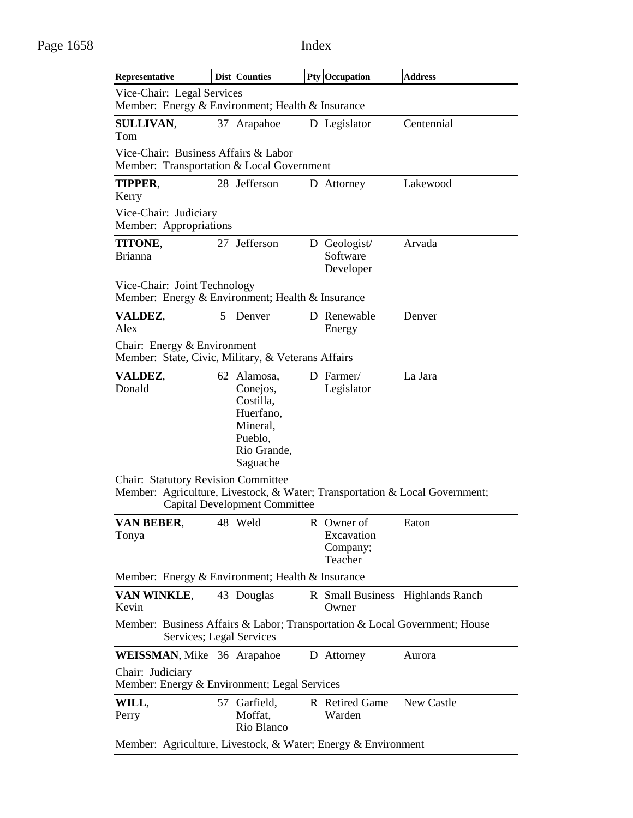| Representative                                                                                                            |   | Dist Counties                                                                                       |  | <b>Pty Occupation</b>                           | <b>Address</b>                   |  |
|---------------------------------------------------------------------------------------------------------------------------|---|-----------------------------------------------------------------------------------------------------|--|-------------------------------------------------|----------------------------------|--|
| Vice-Chair: Legal Services<br>Member: Energy & Environment; Health & Insurance                                            |   |                                                                                                     |  |                                                 |                                  |  |
| <b>SULLIVAN,</b><br>Tom                                                                                                   |   | 37 Arapahoe                                                                                         |  | D Legislator                                    | Centennial                       |  |
| Vice-Chair: Business Affairs & Labor<br>Member: Transportation & Local Government                                         |   |                                                                                                     |  |                                                 |                                  |  |
| TIPPER,<br>Kerry                                                                                                          |   | 28 Jefferson                                                                                        |  | D Attorney                                      | Lakewood                         |  |
| Vice-Chair: Judiciary<br>Member: Appropriations                                                                           |   |                                                                                                     |  |                                                 |                                  |  |
| TITONE,<br><b>Brianna</b>                                                                                                 |   | 27 Jefferson                                                                                        |  | D Geologist/<br>Software<br>Developer           | Arvada                           |  |
| Vice-Chair: Joint Technology<br>Member: Energy & Environment; Health & Insurance                                          |   |                                                                                                     |  |                                                 |                                  |  |
| VALDEZ,<br>Alex                                                                                                           | 5 | Denver                                                                                              |  | D Renewable<br>Energy                           | Denver                           |  |
| Chair: Energy & Environment<br>Member: State, Civic, Military, & Veterans Affairs                                         |   |                                                                                                     |  |                                                 |                                  |  |
| VALDEZ,<br>Donald                                                                                                         |   | 62 Alamosa,<br>Conejos,<br>Costilla,<br>Huerfano,<br>Mineral,<br>Pueblo,<br>Rio Grande,<br>Saguache |  | D Farmer/<br>Legislator                         | La Jara                          |  |
| <b>Chair: Statutory Revision Committee</b><br>Member: Agriculture, Livestock, & Water; Transportation & Local Government; |   | <b>Capital Development Committee</b>                                                                |  |                                                 |                                  |  |
| VAN BEBER,<br>Tonya                                                                                                       |   | 48 Weld                                                                                             |  | R Owner of<br>Excavation<br>Company;<br>Teacher | Eaton                            |  |
| Member: Energy & Environment; Health & Insurance                                                                          |   |                                                                                                     |  |                                                 |                                  |  |
| VAN WINKLE,<br>Kevin                                                                                                      |   | 43 Douglas                                                                                          |  | Owner                                           | R Small Business Highlands Ranch |  |
| Member: Business Affairs & Labor; Transportation & Local Government; House<br>Services; Legal Services                    |   |                                                                                                     |  |                                                 |                                  |  |
| <b>WEISSMAN, Mike 36 Arapahoe</b>                                                                                         |   |                                                                                                     |  | D Attorney                                      | Aurora                           |  |
| Chair: Judiciary<br>Member: Energy & Environment; Legal Services                                                          |   |                                                                                                     |  |                                                 |                                  |  |
| WILL,<br>Perry                                                                                                            |   | 57 Garfield,<br>Moffat,<br>Rio Blanco                                                               |  | R Retired Game<br>Warden                        | New Castle                       |  |
| Member: Agriculture, Livestock, & Water; Energy & Environment                                                             |   |                                                                                                     |  |                                                 |                                  |  |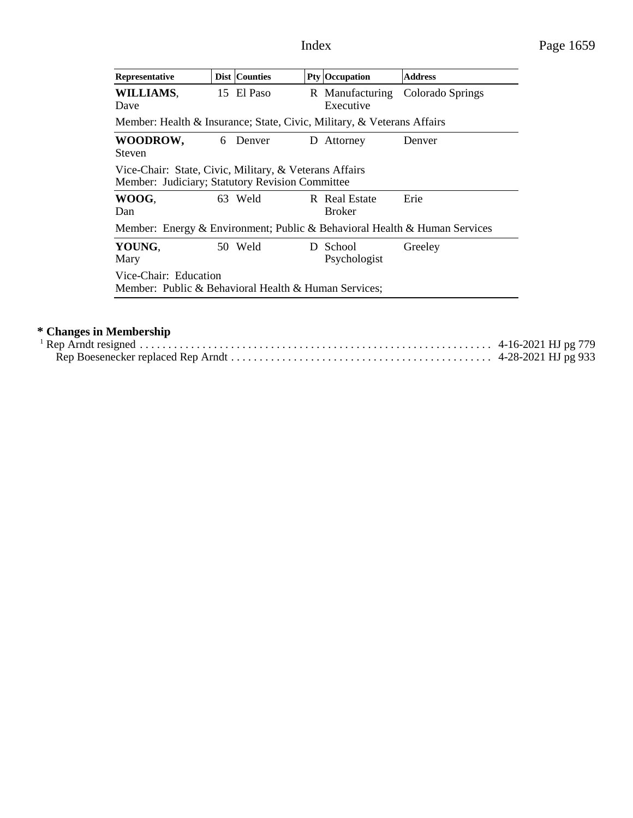| Representative                                                                                            |  | <b>Dist Counties</b> |  | Pty Occupation                 | <b>Address</b>   |  |
|-----------------------------------------------------------------------------------------------------------|--|----------------------|--|--------------------------------|------------------|--|
| WILLIAMS,<br>Dave                                                                                         |  | 15 El Paso           |  | R Manufacturing<br>Executive   | Colorado Springs |  |
| Member: Health & Insurance; State, Civic, Military, & Veterans Affairs                                    |  |                      |  |                                |                  |  |
| WOODROW,<br><b>Steven</b>                                                                                 |  | 6 Denver             |  | D Attorney                     | Denver           |  |
| Vice-Chair: State, Civic, Military, & Veterans Affairs<br>Member: Judiciary; Statutory Revision Committee |  |                      |  |                                |                  |  |
| WOOG,<br>Dan                                                                                              |  | 63 Weld              |  | R Real Estate<br><b>Broker</b> | Erie             |  |
| Member: Energy & Environment; Public & Behavioral Health & Human Services                                 |  |                      |  |                                |                  |  |
| YOUNG,<br>Mary                                                                                            |  | 50 Weld              |  | D School<br>Psychologist       | Greeley          |  |
| Vice-Chair: Education<br>Member: Public & Behavioral Health & Human Services;                             |  |                      |  |                                |                  |  |

## **\* Changes in Membership**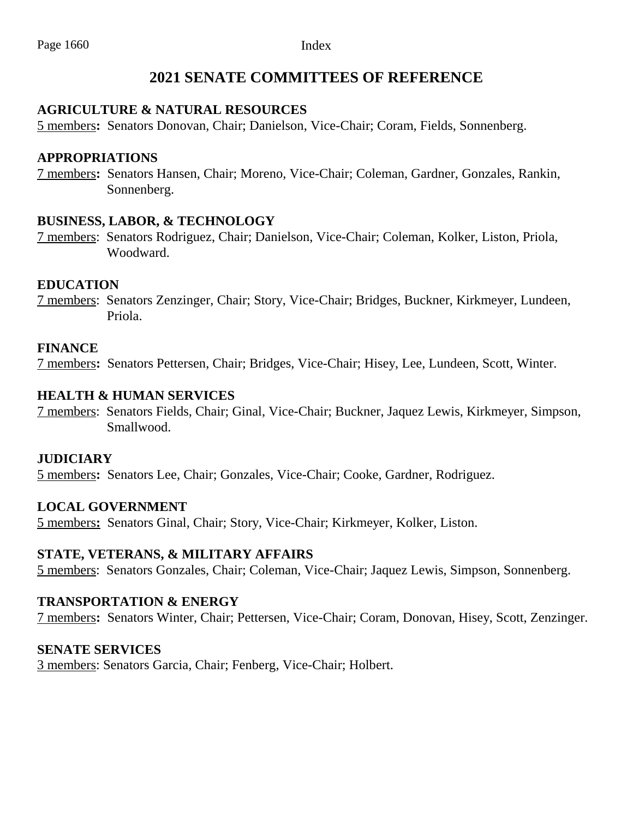## **2021 SENATE COMMITTEES OF REFERENCE**

#### **AGRICULTURE & NATURAL RESOURCES**

5 members**:** Senators Donovan, Chair; Danielson, Vice-Chair; Coram, Fields, Sonnenberg.

#### **APPROPRIATIONS**

7 members**:** Senators Hansen, Chair; Moreno, Vice-Chair; Coleman, Gardner, Gonzales, Rankin, Sonnenberg.

#### **BUSINESS, LABOR, & TECHNOLOGY**

7 members: Senators Rodriguez, Chair; Danielson, Vice-Chair; Coleman, Kolker, Liston, Priola, Woodward.

#### **EDUCATION**

7 members: Senators Zenzinger, Chair; Story, Vice-Chair; Bridges, Buckner, Kirkmeyer, Lundeen, Priola.

#### **FINANCE**

7 members**:** Senators Pettersen, Chair; Bridges, Vice-Chair; Hisey, Lee, Lundeen, Scott, Winter.

#### **HEALTH & HUMAN SERVICES**

7 members: Senators Fields, Chair; Ginal, Vice-Chair; Buckner, Jaquez Lewis, Kirkmeyer, Simpson, Smallwood.

#### **JUDICIARY**

5 members**:** Senators Lee, Chair; Gonzales, Vice-Chair; Cooke, Gardner, Rodriguez.

#### **LOCAL GOVERNMENT**

5 members**:** Senators Ginal, Chair; Story, Vice-Chair; Kirkmeyer, Kolker, Liston.

#### **STATE, VETERANS, & MILITARY AFFAIRS**

5 members: Senators Gonzales, Chair; Coleman, Vice-Chair; Jaquez Lewis, Simpson, Sonnenberg.

#### **TRANSPORTATION & ENERGY**

7 members**:** Senators Winter, Chair; Pettersen, Vice-Chair; Coram, Donovan, Hisey, Scott, Zenzinger.

#### **SENATE SERVICES**

3 members: Senators Garcia, Chair; Fenberg, Vice-Chair; Holbert.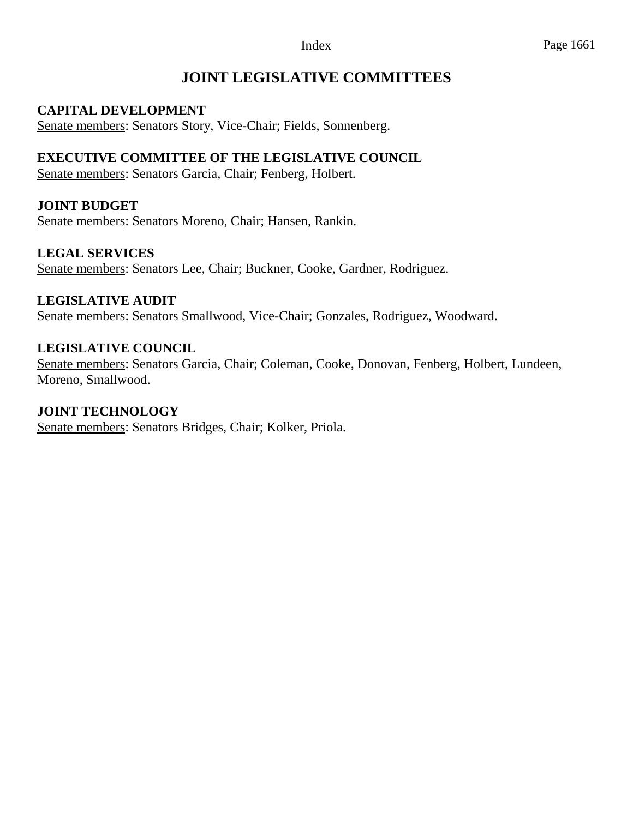## **JOINT LEGISLATIVE COMMITTEES**

### **CAPITAL DEVELOPMENT**

Senate members: Senators Story, Vice-Chair; Fields, Sonnenberg.

### **EXECUTIVE COMMITTEE OF THE LEGISLATIVE COUNCIL**

Senate members: Senators Garcia, Chair; Fenberg, Holbert.

## **JOINT BUDGET**

Senate members: Senators Moreno, Chair; Hansen, Rankin.

### **LEGAL SERVICES**

Senate members: Senators Lee, Chair; Buckner, Cooke, Gardner, Rodriguez.

#### **LEGISLATIVE AUDIT**

Senate members: Senators Smallwood, Vice-Chair; Gonzales, Rodriguez, Woodward.

#### **LEGISLATIVE COUNCIL**

Senate members: Senators Garcia, Chair; Coleman, Cooke, Donovan, Fenberg, Holbert, Lundeen, Moreno, Smallwood.

#### **JOINT TECHNOLOGY**

Senate members: Senators Bridges, Chair; Kolker, Priola.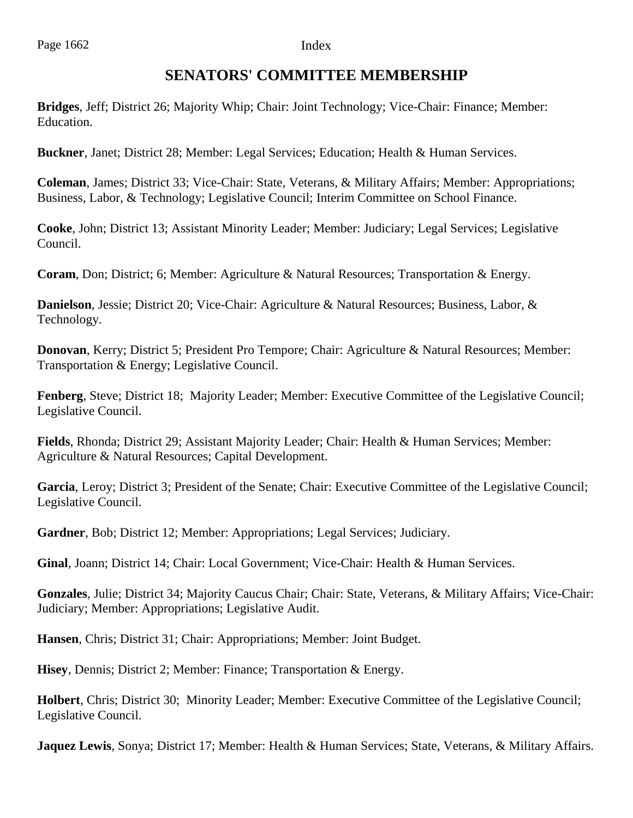## **SENATORS' COMMITTEE MEMBERSHIP**

**Bridges**, Jeff; District 26; Majority Whip; Chair: Joint Technology; Vice-Chair: Finance; Member: Education.

**Buckner**, Janet; District 28; Member: Legal Services; Education; Health & Human Services.

**Coleman**, James; District 33; Vice-Chair: State, Veterans, & Military Affairs; Member: Appropriations; Business, Labor, & Technology; Legislative Council; Interim Committee on School Finance.

**Cooke**, John; District 13; Assistant Minority Leader; Member: Judiciary; Legal Services; Legislative Council.

**Coram**, Don; District; 6; Member: Agriculture & Natural Resources; Transportation & Energy.

**Danielson**, Jessie; District 20; Vice-Chair: Agriculture & Natural Resources; Business, Labor, & Technology.

**Donovan**, Kerry; District 5; President Pro Tempore; Chair: Agriculture & Natural Resources; Member: Transportation & Energy; Legislative Council.

**Fenberg**, Steve; District 18; Majority Leader; Member: Executive Committee of the Legislative Council; Legislative Council.

**Fields**, Rhonda; District 29; Assistant Majority Leader; Chair: Health & Human Services; Member: Agriculture & Natural Resources; Capital Development.

**Garcia**, Leroy; District 3; President of the Senate; Chair: Executive Committee of the Legislative Council; Legislative Council.

**Gardner**, Bob; District 12; Member: Appropriations; Legal Services; Judiciary.

**Ginal**, Joann; District 14; Chair: Local Government; Vice-Chair: Health & Human Services.

**Gonzales**, Julie; District 34; Majority Caucus Chair; Chair: State, Veterans, & Military Affairs; Vice-Chair: Judiciary; Member: Appropriations; Legislative Audit.

**Hansen**, Chris; District 31; Chair: Appropriations; Member: Joint Budget.

**Hisey**, Dennis; District 2; Member: Finance; Transportation & Energy.

**Holbert**, Chris; District 30; Minority Leader; Member: Executive Committee of the Legislative Council; Legislative Council.

**Jaquez Lewis**, Sonya; District 17; Member: Health & Human Services; State, Veterans, & Military Affairs.